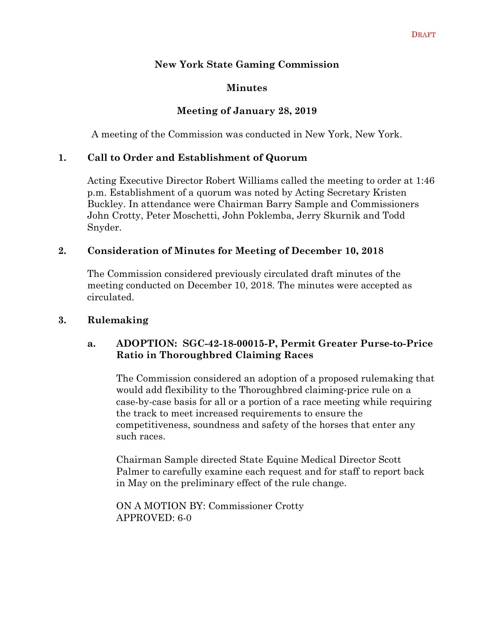### **New York State Gaming Commission**

### **Minutes**

#### **Meeting of January 28, 2019**

A meeting of the Commission was conducted in New York, New York.

#### **1. Call to Order and Establishment of Quorum**

Acting Executive Director Robert Williams called the meeting to order at 1:46 p.m. Establishment of a quorum was noted by Acting Secretary Kristen Buckley. In attendance were Chairman Barry Sample and Commissioners John Crotty, Peter Moschetti, John Poklemba, Jerry Skurnik and Todd Snyder.

#### **2. Consideration of Minutes for Meeting of December 10, 2018**

The Commission considered previously circulated draft minutes of the meeting conducted on December 10, 2018. The minutes were accepted as circulated.

#### **3. Rulemaking**

#### **a. ADOPTION: SGC-42-18-00015-P, Permit Greater Purse-to-Price Ratio in Thoroughbred Claiming Races**

The Commission considered an adoption of a proposed rulemaking that would add flexibility to the Thoroughbred claiming-price rule on a case-by-case basis for all or a portion of a race meeting while requiring the track to meet increased requirements to ensure the competitiveness, soundness and safety of the horses that enter any such races.

Chairman Sample directed State Equine Medical Director Scott Palmer to carefully examine each request and for staff to report back in May on the preliminary effect of the rule change.

ON A MOTION BY: Commissioner Crotty APPROVED: 6-0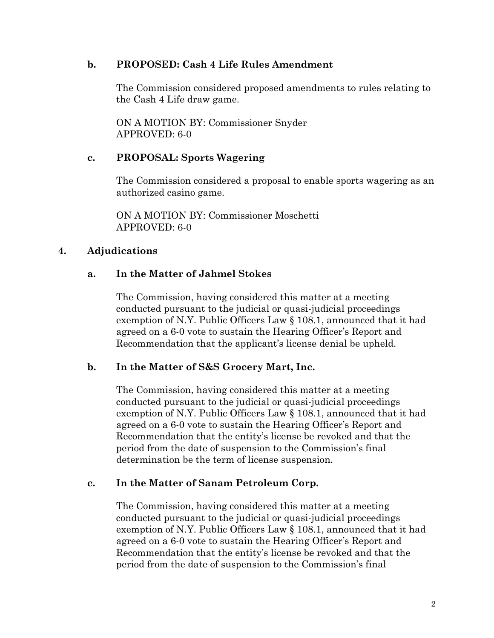#### **b. PROPOSED: Cash 4 Life Rules Amendment**

The Commission considered proposed amendments to rules relating to the Cash 4 Life draw game.

ON A MOTION BY: Commissioner Snyder APPROVED: 6-0

### **c. PROPOSAL: Sports Wagering**

The Commission considered a proposal to enable sports wagering as an authorized casino game.

ON A MOTION BY: Commissioner Moschetti APPROVED: 6-0

### **4. Adjudications**

## **a. In the Matter of Jahmel Stokes**

The Commission, having considered this matter at a meeting conducted pursuant to the judicial or quasi-judicial proceedings exemption of N.Y. Public Officers Law § 108.1, announced that it had agreed on a 6-0 vote to sustain the Hearing Officer's Report and Recommendation that the applicant's license denial be upheld.

### **b. In the Matter of S&S Grocery Mart, Inc.**

The Commission, having considered this matter at a meeting conducted pursuant to the judicial or quasi-judicial proceedings exemption of N.Y. Public Officers Law § 108.1, announced that it had agreed on a 6-0 vote to sustain the Hearing Officer's Report and Recommendation that the entity's license be revoked and that the period from the date of suspension to the Commission's final determination be the term of license suspension.

#### **c. In the Matter of Sanam Petroleum Corp.**

The Commission, having considered this matter at a meeting conducted pursuant to the judicial or quasi-judicial proceedings exemption of N.Y. Public Officers Law § 108.1, announced that it had agreed on a 6-0 vote to sustain the Hearing Officer's Report and Recommendation that the entity's license be revoked and that the period from the date of suspension to the Commission's final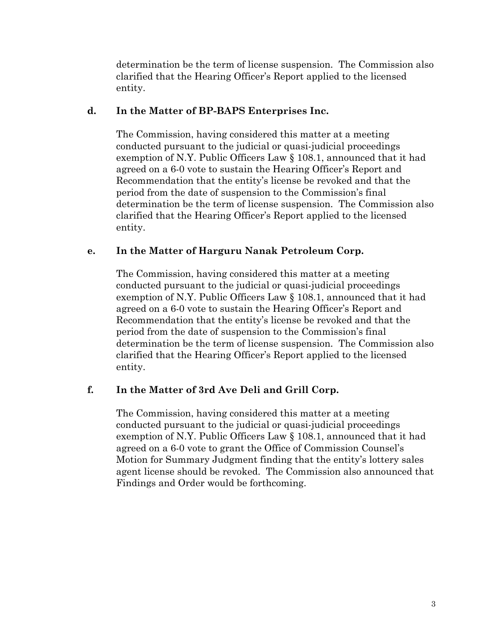determination be the term of license suspension. The Commission also clarified that the Hearing Officer's Report applied to the licensed entity.

#### **d. In the Matter of BP-BAPS Enterprises Inc.**

The Commission, having considered this matter at a meeting conducted pursuant to the judicial or quasi-judicial proceedings exemption of N.Y. Public Officers Law § 108.1, announced that it had agreed on a 6-0 vote to sustain the Hearing Officer's Report and Recommendation that the entity's license be revoked and that the period from the date of suspension to the Commission's final determination be the term of license suspension. The Commission also clarified that the Hearing Officer's Report applied to the licensed entity.

### **e. In the Matter of Harguru Nanak Petroleum Corp.**

The Commission, having considered this matter at a meeting conducted pursuant to the judicial or quasi-judicial proceedings exemption of N.Y. Public Officers Law § 108.1, announced that it had agreed on a 6-0 vote to sustain the Hearing Officer's Report and Recommendation that the entity's license be revoked and that the period from the date of suspension to the Commission's final determination be the term of license suspension. The Commission also clarified that the Hearing Officer's Report applied to the licensed entity.

### **f. In the Matter of 3rd Ave Deli and Grill Corp.**

The Commission, having considered this matter at a meeting conducted pursuant to the judicial or quasi-judicial proceedings exemption of N.Y. Public Officers Law § 108.1, announced that it had agreed on a 6-0 vote to grant the Office of Commission Counsel's Motion for Summary Judgment finding that the entity's lottery sales agent license should be revoked. The Commission also announced that Findings and Order would be forthcoming.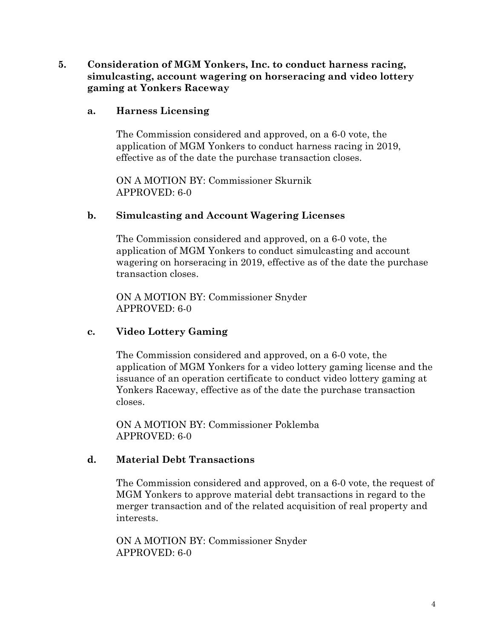### **5. Consideration of MGM Yonkers, Inc. to conduct harness racing, simulcasting, account wagering on horseracing and video lottery gaming at Yonkers Raceway**

#### **a. Harness Licensing**

The Commission considered and approved, on a 6-0 vote, the application of MGM Yonkers to conduct harness racing in 2019, effective as of the date the purchase transaction closes.

ON A MOTION BY: Commissioner Skurnik APPROVED: 6-0

#### **b. Simulcasting and Account Wagering Licenses**

The Commission considered and approved, on a 6-0 vote, the application of MGM Yonkers to conduct simulcasting and account wagering on horseracing in 2019, effective as of the date the purchase transaction closes.

ON A MOTION BY: Commissioner Snyder APPROVED: 6-0

### **c. Video Lottery Gaming**

The Commission considered and approved, on a 6-0 vote, the application of MGM Yonkers for a video lottery gaming license and the issuance of an operation certificate to conduct video lottery gaming at Yonkers Raceway, effective as of the date the purchase transaction closes.

ON A MOTION BY: Commissioner Poklemba APPROVED: 6-0

### **d. Material Debt Transactions**

The Commission considered and approved, on a 6-0 vote, the request of MGM Yonkers to approve material debt transactions in regard to the merger transaction and of the related acquisition of real property and interests.

ON A MOTION BY: Commissioner Snyder APPROVED: 6-0